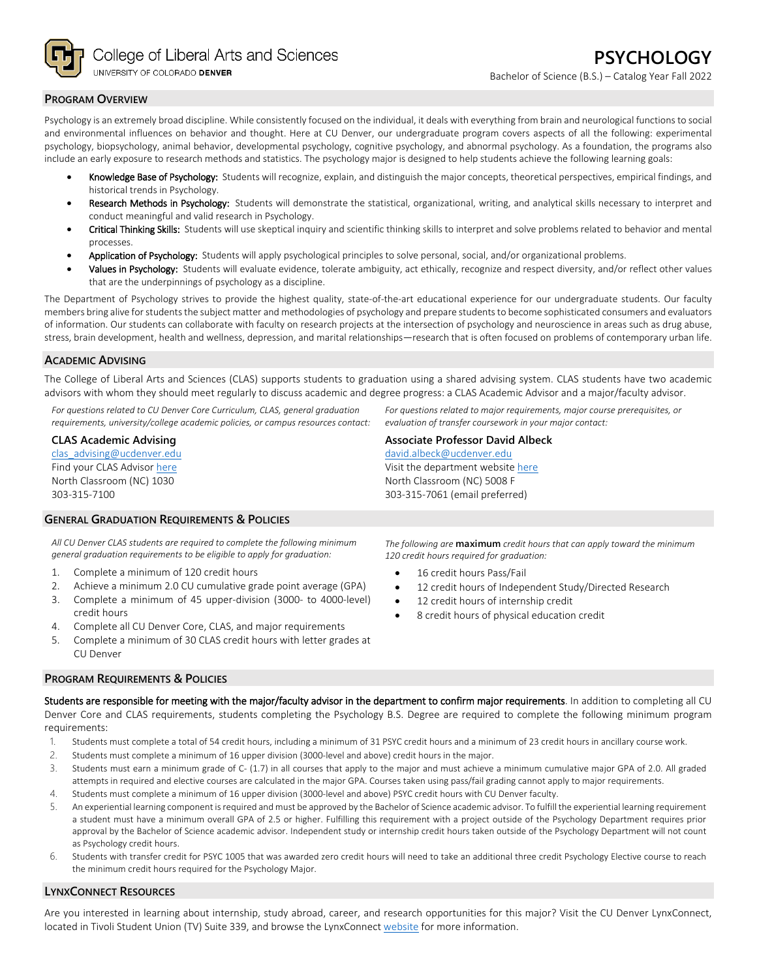

### **PROGRAM OVERVIEW**

Psychology is an extremely broad discipline. While consistently focused on the individual, it deals with everything from brain and neurological functions to social and environmental influences on behavior and thought. Here at CU Denver, our undergraduate program covers aspects of all the following: experimental psychology, biopsychology, animal behavior, developmental psychology, cognitive psychology, and abnormal psychology. As a foundation, the programs also include an early exposure to research methods and statistics. The psychology major is designed to help students achieve the following learning goals:

- Knowledge Base of Psychology: Students will recognize, explain, and distinguish the major concepts, theoretical perspectives, empirical findings, and historical trends in Psychology.
- Research Methods in Psychology: Students will demonstrate the statistical, organizational, writing, and analytical skills necessary to interpret and conduct meaningful and valid research in Psychology.
- Critical Thinking Skills: Students will use skeptical inquiry and scientific thinking skills to interpret and solve problems related to behavior and mental processes.
- Application of Psychology: Students will apply psychological principles to solve personal, social, and/or organizational problems.
- Values in Psychology: Students will evaluate evidence, tolerate ambiguity, act ethically, recognize and respect diversity, and/or reflect other values that are the underpinnings of psychology as a discipline.

The Department of Psychology strives to provide the highest quality, state-of-the-art educational experience for our undergraduate students. Our faculty members bring alive for students the subject matter and methodologies of psychology and prepare students to become sophisticated consumers and evaluators of information. Our students can collaborate with faculty on research projects at the intersection of psychology and neuroscience in areas such as drug abuse, stress, brain development, health and wellness, depression, and marital relationships—research that is often focused on problems of contemporary urban life.

# **ACADEMIC ADVISING**

The College of Liberal Arts and Sciences (CLAS) supports students to graduation using a shared advising system. CLAS students have two academic advisors with whom they should meet regularly to discuss academic and degree progress: a CLAS Academic Advisor and a major/faculty advisor.

*For questions related to CU Denver Core Curriculum, CLAS, general graduation requirements, university/college academic policies, or campus resources contact:*

#### **CLAS Academic Advising**

[clas\\_advising@ucdenver.edu](mailto:clas_advising@ucdenver.edu) Find your CLAS Adviso[r here](https://clas.ucdenver.edu/advising/) North Classroom (NC) 1030 303-315-7100

#### **GENERAL GRADUATION REQUIREMENTS & POLICIES**

*All CU Denver CLAS students are required to complete the following minimum general graduation requirements to be eligible to apply for graduation:*

- 1. Complete a minimum of 120 credit hours
- 2. Achieve a minimum 2.0 CU cumulative grade point average (GPA)
- 3. Complete a minimum of 45 upper-division (3000- to 4000-level) credit hours
- 4. Complete all CU Denver Core, CLAS, and major requirements
- 5. Complete a minimum of 30 CLAS credit hours with letter grades at CU Denver

#### **PROGRAM REQUIREMENTS & POLICIES**

*The following are* **maximum** *credit hours that can apply toward the minimum 120 credit hours required for graduation:*

*For questions related to major requirements, major course prerequisites, or* 

*evaluation of transfer coursework in your major contact:*

**Associate Professor David Albeck** [david.albeck@ucdenver.edu](mailto:david.albeck@ucdenver.edu) Visit the department websit[e here](https://clas.ucdenver.edu/psychology/) North Classroom (NC) 5008 F 303-315-7061 (email preferred)

- 16 credit hours Pass/Fail
- 12 credit hours of Independent Study/Directed Research
- 12 credit hours of internship credit
- 8 credit hours of physical education credit

Students are responsible for meeting with the major/faculty advisor in the department to confirm major requirements. In addition to completing all CU Denver Core and CLAS requirements, students completing the Psychology B.S. Degree are required to complete the following minimum program requirements:

- 1. Students must complete a total of 54 credit hours, including a minimum of 31 PSYC credit hours and a minimum of 23 credit hours in ancillary course work.
- 2. Students must complete a minimum of 16 upper division (3000-level and above) credit hours in the major.
- 3. Students must earn a minimum grade of C- (1.7) in all courses that apply to the major and must achieve a minimum cumulative major GPA of 2.0. All graded attempts in required and elective courses are calculated in the major GPA. Courses taken using pass/fail grading cannot apply to major requirements.
- 4. Students must complete a minimum of 16 upper division (3000-level and above) PSYC credit hours with CU Denver faculty.
- 5. An experiential learning component is required and must be approved by the Bachelor of Science academic advisor. To fulfill the experiential learning requirement a student must have a minimum overall GPA of 2.5 or higher. Fulfilling this requirement with a project outside of the Psychology Department requires prior approval by the Bachelor of Science academic advisor. Independent study or internship credit hours taken outside of the Psychology Department will not count as Psychology credit hours.
- 6. Students with transfer credit for PSYC 1005 that was awarded zero credit hours will need to take an additional three credit Psychology Elective course to reach the minimum credit hours required for the Psychology Major.

# **LYNXCONNECT RESOURCES**

Are you interested in learning about internship, study abroad, career, and research opportunities for this major? Visit the CU Denver LynxConnect, located in Tivoli Student Union (TV) Suite 339, and browse the LynxConnec[t website](http://www.ucdenver.edu/lynxconnect/Pages/default.aspx) for more information.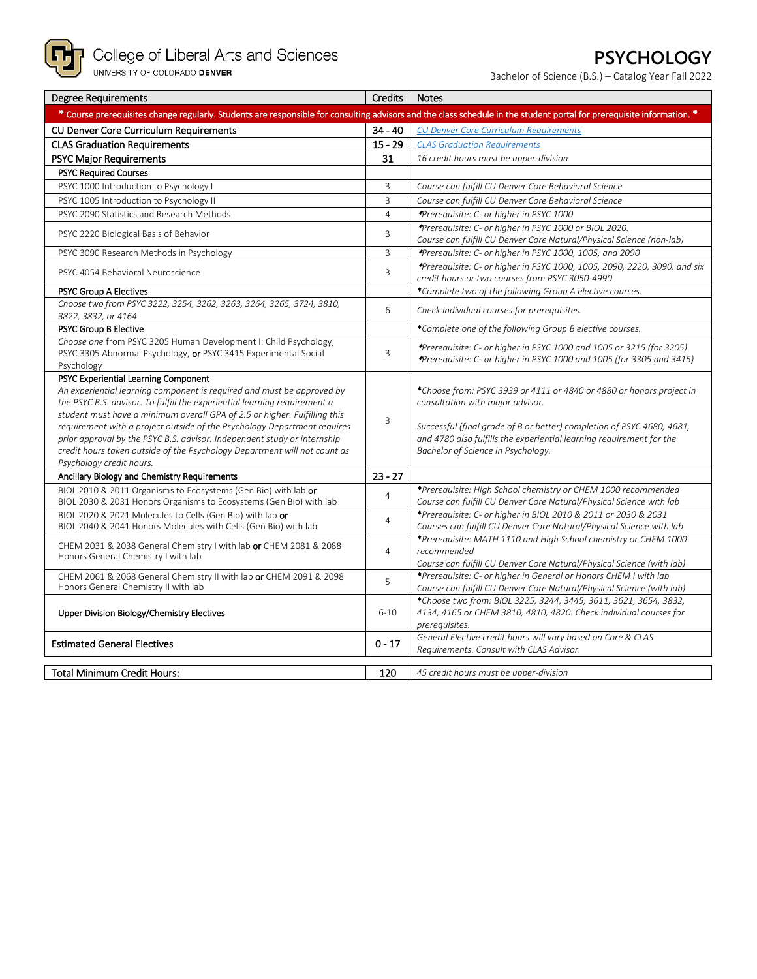

# **PSYCHOLOGY**

Bachelor of Science (B.S.) – Catalog Year Fall 2022

| <b>Degree Requirements</b>                                                                                                                                                                                                                                                                                                                                                                                                                                                                                                                | Credits        | <b>Notes</b>                                                                                                                                                                                                                                                                                     |
|-------------------------------------------------------------------------------------------------------------------------------------------------------------------------------------------------------------------------------------------------------------------------------------------------------------------------------------------------------------------------------------------------------------------------------------------------------------------------------------------------------------------------------------------|----------------|--------------------------------------------------------------------------------------------------------------------------------------------------------------------------------------------------------------------------------------------------------------------------------------------------|
| * Course prerequisites change regularly. Students are responsible for consulting advisors and the class schedule in the student portal for prerequisite information. *                                                                                                                                                                                                                                                                                                                                                                    |                |                                                                                                                                                                                                                                                                                                  |
| CU Denver Core Curriculum Requirements                                                                                                                                                                                                                                                                                                                                                                                                                                                                                                    | $34 - 40$      | <b>CU Denver Core Curriculum Requirements</b>                                                                                                                                                                                                                                                    |
| <b>CLAS Graduation Requirements</b>                                                                                                                                                                                                                                                                                                                                                                                                                                                                                                       | $15 - 29$      | <b>CLAS Graduation Requirements</b>                                                                                                                                                                                                                                                              |
| <b>PSYC Major Requirements</b>                                                                                                                                                                                                                                                                                                                                                                                                                                                                                                            | 31             | 16 credit hours must be upper-division                                                                                                                                                                                                                                                           |
| <b>PSYC Required Courses</b>                                                                                                                                                                                                                                                                                                                                                                                                                                                                                                              |                |                                                                                                                                                                                                                                                                                                  |
| PSYC 1000 Introduction to Psychology I                                                                                                                                                                                                                                                                                                                                                                                                                                                                                                    | 3              | Course can fulfill CU Denver Core Behavioral Science                                                                                                                                                                                                                                             |
| PSYC 1005 Introduction to Psychology II                                                                                                                                                                                                                                                                                                                                                                                                                                                                                                   | $\overline{3}$ | Course can fulfill CU Denver Core Behavioral Science                                                                                                                                                                                                                                             |
| PSYC 2090 Statistics and Research Methods                                                                                                                                                                                                                                                                                                                                                                                                                                                                                                 | $\overline{4}$ | *Prerequisite: C- or higher in PSYC 1000                                                                                                                                                                                                                                                         |
| PSYC 2220 Biological Basis of Behavior                                                                                                                                                                                                                                                                                                                                                                                                                                                                                                    | 3              | *Prerequisite: C- or higher in PSYC 1000 or BIOL 2020.<br>Course can fulfill CU Denver Core Natural/Physical Science (non-lab)                                                                                                                                                                   |
| PSYC 3090 Research Methods in Psychology                                                                                                                                                                                                                                                                                                                                                                                                                                                                                                  | 3              | *Prerequisite: C- or higher in PSYC 1000, 1005, and 2090                                                                                                                                                                                                                                         |
| PSYC 4054 Behavioral Neuroscience                                                                                                                                                                                                                                                                                                                                                                                                                                                                                                         | 3              | *Prerequisite: C- or higher in PSYC 1000, 1005, 2090, 2220, 3090, and six<br>credit hours or two courses from PSYC 3050-4990                                                                                                                                                                     |
| <b>PSYC Group A Electives</b>                                                                                                                                                                                                                                                                                                                                                                                                                                                                                                             |                | *Complete two of the following Group A elective courses.                                                                                                                                                                                                                                         |
| Choose two from PSYC 3222, 3254, 3262, 3263, 3264, 3265, 3724, 3810,<br>3822, 3832, or 4164                                                                                                                                                                                                                                                                                                                                                                                                                                               | 6              | Check individual courses for prerequisites.                                                                                                                                                                                                                                                      |
| <b>PSYC Group B Elective</b>                                                                                                                                                                                                                                                                                                                                                                                                                                                                                                              |                | *Complete one of the following Group B elective courses.                                                                                                                                                                                                                                         |
| Choose one from PSYC 3205 Human Development I: Child Psychology,<br>PSYC 3305 Abnormal Psychology, or PSYC 3415 Experimental Social<br>Psychology                                                                                                                                                                                                                                                                                                                                                                                         | 3              | *Prerequisite: C- or higher in PSYC 1000 and 1005 or 3215 (for 3205)<br>*Prerequisite: C- or higher in PSYC 1000 and 1005 (for 3305 and 3415)                                                                                                                                                    |
| PSYC Experiential Learning Component<br>An experiential learning component is required and must be approved by<br>the PSYC B.S. advisor. To fulfill the experiential learning requirement a<br>student must have a minimum overall GPA of 2.5 or higher. Fulfilling this<br>requirement with a project outside of the Psychology Department requires<br>prior approval by the PSYC B.S. advisor. Independent study or internship<br>credit hours taken outside of the Psychology Department will not count as<br>Psychology credit hours. | 3              | *Choose from: PSYC 3939 or 4111 or 4840 or 4880 or honors project in<br>consultation with major advisor.<br>Successful (final grade of B or better) completion of PSYC 4680, 4681,<br>and 4780 also fulfills the experiential learning requirement for the<br>Bachelor of Science in Psychology. |
| Ancillary Biology and Chemistry Requirements                                                                                                                                                                                                                                                                                                                                                                                                                                                                                              | $23 - 27$      |                                                                                                                                                                                                                                                                                                  |
| BIOL 2010 & 2011 Organisms to Ecosystems (Gen Bio) with lab or<br>BIOL 2030 & 2031 Honors Organisms to Ecosystems (Gen Bio) with lab                                                                                                                                                                                                                                                                                                                                                                                                      | $\overline{4}$ | *Prerequisite: High School chemistry or CHEM 1000 recommended<br>Course can fulfill CU Denver Core Natural/Physical Science with lab                                                                                                                                                             |
| BIOL 2020 & 2021 Molecules to Cells (Gen Bio) with lab or<br>BIOL 2040 & 2041 Honors Molecules with Cells (Gen Bio) with lab                                                                                                                                                                                                                                                                                                                                                                                                              | $\overline{4}$ | *Prerequisite: C- or higher in BIOL 2010 & 2011 or 2030 & 2031<br>Courses can fulfill CU Denver Core Natural/Physical Science with lab                                                                                                                                                           |
| CHEM 2031 & 2038 General Chemistry I with lab or CHEM 2081 & 2088<br>Honors General Chemistry I with lab                                                                                                                                                                                                                                                                                                                                                                                                                                  | $\overline{4}$ | *Prerequisite: MATH 1110 and High School chemistry or CHEM 1000<br>recommended<br>Course can fulfill CU Denver Core Natural/Physical Science (with lab)                                                                                                                                          |
| CHEM 2061 & 2068 General Chemistry II with lab or CHEM 2091 & 2098<br>Honors General Chemistry II with lab                                                                                                                                                                                                                                                                                                                                                                                                                                | 5              | *Prerequisite: C- or higher in General or Honors CHEM I with lab<br>Course can fulfill CU Denver Core Natural/Physical Science (with lab)                                                                                                                                                        |
| Upper Division Biology/Chemistry Electives                                                                                                                                                                                                                                                                                                                                                                                                                                                                                                | $6 - 10$       | *Choose two from: BIOL 3225, 3244, 3445, 3611, 3621, 3654, 3832,<br>4134, 4165 or CHEM 3810, 4810, 4820. Check individual courses for<br>prerequisites.                                                                                                                                          |
| <b>Estimated General Electives</b>                                                                                                                                                                                                                                                                                                                                                                                                                                                                                                        | $0 - 17$       | General Elective credit hours will vary based on Core & CLAS<br>Requirements. Consult with CLAS Advisor.                                                                                                                                                                                         |
|                                                                                                                                                                                                                                                                                                                                                                                                                                                                                                                                           |                |                                                                                                                                                                                                                                                                                                  |
| <b>Total Minimum Credit Hours:</b>                                                                                                                                                                                                                                                                                                                                                                                                                                                                                                        | 120            | 45 credit hours must be upper-division                                                                                                                                                                                                                                                           |